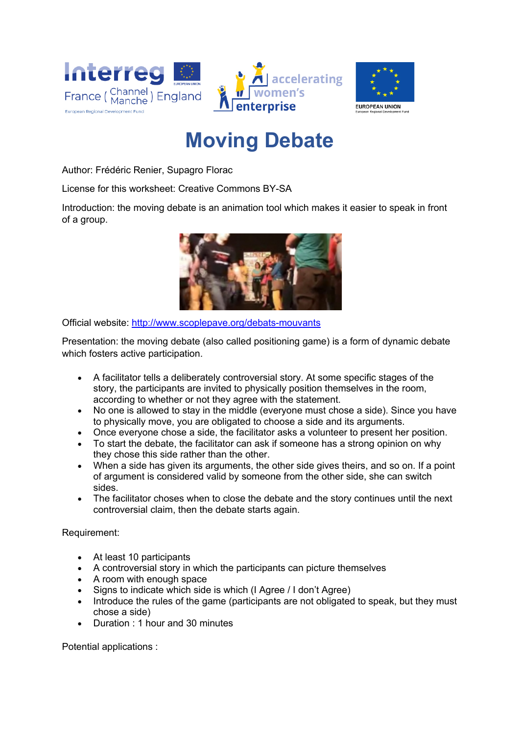

## **Moving Debate**

Author: Frédéric Renier, Supagro Florac

License for this worksheet: Creative Commons BY-SA

Introduction: the moving debate is an animation tool which makes it easier to speak in front of a group.



Official website: http://www.scoplepave.org/debats-mouvants

Presentation: the moving debate (also called positioning game) is a form of dynamic debate which fosters active participation.

- A facilitator tells a deliberately controversial story. At some specific stages of the story, the participants are invited to physically position themselves in the room, according to whether or not they agree with the statement.
- No one is allowed to stay in the middle (everyone must chose a side). Since you have to physically move, you are obligated to choose a side and its arguments.
- Once everyone chose a side, the facilitator asks a volunteer to present her position.
- To start the debate, the facilitator can ask if someone has a strong opinion on why they chose this side rather than the other.
- When a side has given its arguments, the other side gives theirs, and so on. If a point of argument is considered valid by someone from the other side, she can switch sides.
- The facilitator choses when to close the debate and the story continues until the next controversial claim, then the debate starts again.

Requirement:

- At least 10 participants
- A controversial story in which the participants can picture themselves
- A room with enough space
- Signs to indicate which side is which (I Agree / I don't Agree)
- Introduce the rules of the game (participants are not obligated to speak, but they must chose a side)
- Duration : 1 hour and 30 minutes

Potential applications :